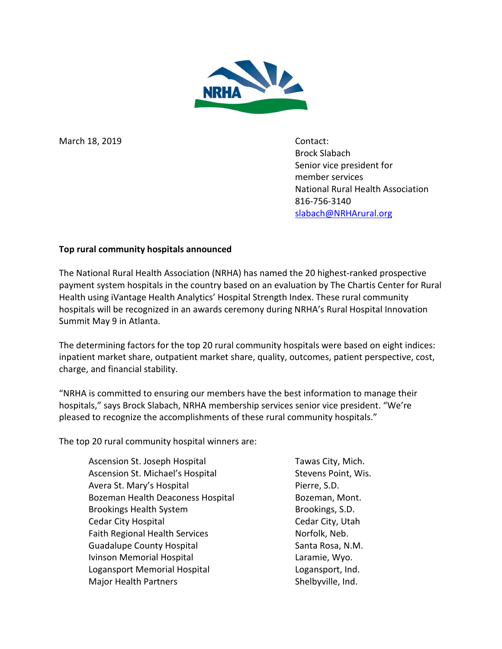

March 18, 2019 Contact:

Brock Slabach Senior vice president for member services National Rural Health Association 816-756-3140 [slabach@NRHArural.org](mailto:slabach@NRHArural.org)

## **Top rural community hospitals announced**

The National Rural Health Association (NRHA) has named the 20 highest-ranked prospective payment system hospitals in the country based on an evaluation by The Chartis Center for Rural Health using iVantage Health Analytics' Hospital Strength Index. These rural community hospitals will be recognized in an awards ceremony during NRHA's Rural Hospital Innovation Summit May 9 in Atlanta.

The determining factors for the top 20 rural community hospitals were based on eight indices: inpatient market share, outpatient market share, quality, outcomes, patient perspective, cost, charge, and financial stability.

"NRHA is committed to ensuring our members have the best information to manage their hospitals," says Brock Slabach, NRHA membership services senior vice president. "We're pleased to recognize the accomplishments of these rural community hospitals."

The top 20 rural community hospital winners are:

Ascension St. Joseph Hospital Tawas City, Mich. Ascension St. Michael's Hospital Stevens Point, Wis. Avera St. Mary's Hospital **Pierre**, S.D. Bozeman Health Deaconess Hospital Bozeman, Mont. Brookings Health System Brookings, S.D. Cedar City Hospital Cedar City, Utah Faith Regional Health Services Norfolk, Neb. Guadalupe County Hospital Santa Rosa, N.M. Ivinson Memorial Hospital **Lack Accord Laramie**, Wyo. Logansport Memorial Hospital Logansport, Ind. Major Health Partners Shelbyville, Ind.